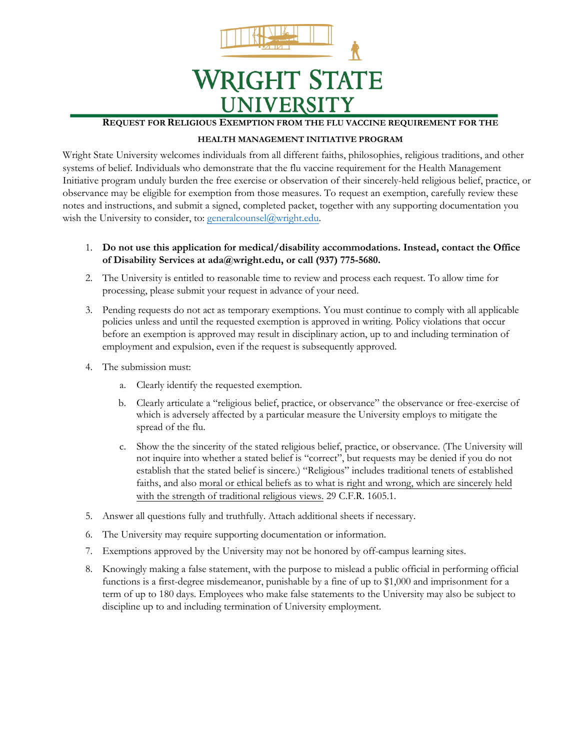

## **REQUEST FOR RELIGIOUS EXEMPTION FROM THE FLU VACCINE REQUIREMENT FOR THE**

## **HEALTH MANAGEMENT INITIATIVE PROGRAM**

Wright State University welcomes individuals from all different faiths, philosophies, religious traditions, and other systems of belief. Individuals who demonstrate that the flu vaccine requirement for the Health Management Initiative program unduly burden the free exercise or observation of their sincerely-held religious belief, practice, or observance may be eligible for exemption from those measures. To request an exemption, carefully review these notes and instructions, and submit a signed, completed packet, together with any supporting documentation you wish the University to consider, to: generalcounsel@wright.edu.

- 1. **Do not use this application for medical/disability accommodations. Instead, contact the Office of Disability Services at ada@wright.edu, or call (937) 775-5680.**
- 2. The University is entitled to reasonable time to review and process each request. To allow time for processing, please submit your request in advance of your need.
- 3. Pending requests do not act as temporary exemptions. You must continue to comply with all applicable policies unless and until the requested exemption is approved in writing. Policy violations that occur before an exemption is approved may result in disciplinary action, up to and including termination of employment and expulsion, even if the request is subsequently approved.
- 4. The submission must:
	- a. Clearly identify the requested exemption.
	- b. Clearly articulate a "religious belief, practice, or observance" the observance or free-exercise of which is adversely affected by a particular measure the University employs to mitigate the spread of the flu.
	- c. Show the the sincerity of the stated religious belief, practice, or observance. (The University will not inquire into whether a stated belief is "correct", but requests may be denied if you do not establish that the stated belief is sincere.) "Religious" includes traditional tenets of established faiths, and also moral or ethical beliefs as to what is right and wrong, which are sincerely held with the strength of traditional religious views. 29 C.F.R. 1605.1.
- 5. Answer all questions fully and truthfully. Attach additional sheets if necessary.
- 6. The University may require supporting documentation or information.
- 7. Exemptions approved by the University may not be honored by off-campus learning sites.
- 8. Knowingly making a false statement, with the purpose to mislead a public official in performing official functions is a first-degree misdemeanor, punishable by a fine of up to \$1,000 and imprisonment for a term of up to 180 days. Employees who make false statements to the University may also be subject to discipline up to and including termination of University employment.